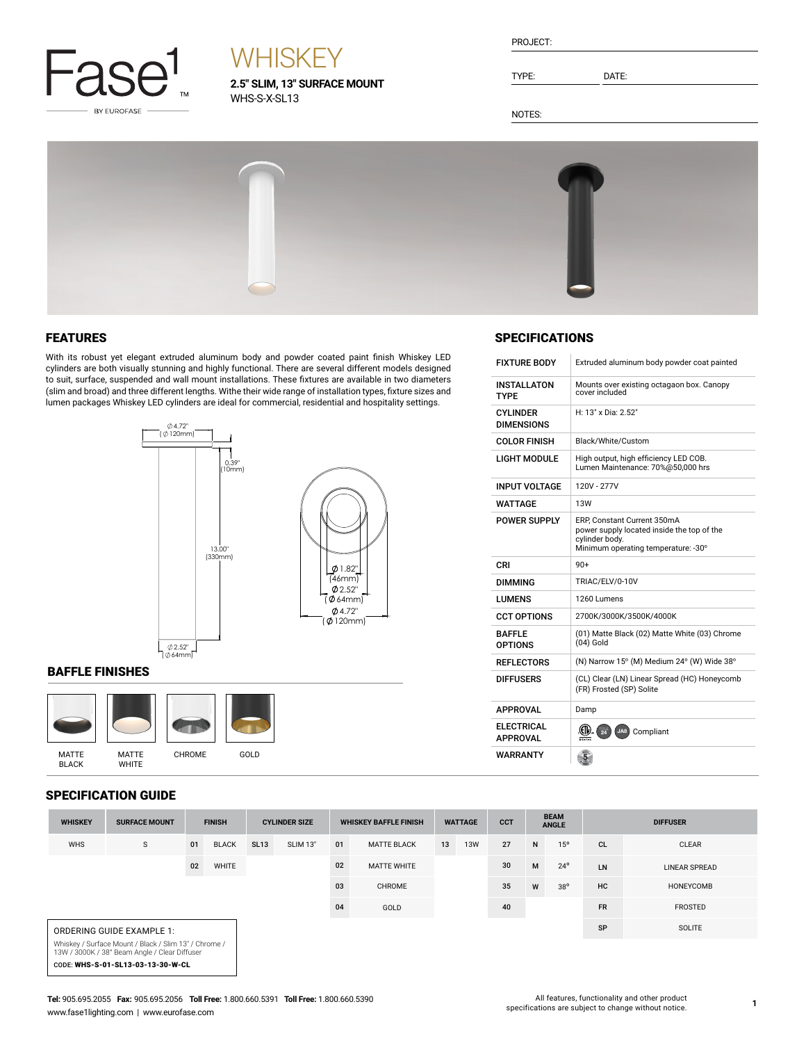

# **WHISKEY**

**2.5" SLIM, 13" SURFACE MOUNT** WHS-S-X-SL13

| PROJECT |  |
|---------|--|
|         |  |

TYPE: DATE:

NOTES:



## FEATURES

With its robust yet elegant extruded aluminum body and powder coated paint finish Whiskey LED cylinders are both visually stunning and highly functional. There are several different models designed to suit, surface, suspended and wall mount installations. These fixtures are available in two diameters (slim and broad) and three different lengths. Withe their wide range of installation types, fixture sizes and lumen packages Whiskey LED cylinders are ideal for commercial, residential and hospitality settings.



### BAFFLE FINISHES



## SPECIFICATION GUIDE

| SPEUIFIUA I IUN GUIDE |                                                                                                        |               |              |                                                      |                 |                              |                    |    |                             |    |                 |                 |           |                      |
|-----------------------|--------------------------------------------------------------------------------------------------------|---------------|--------------|------------------------------------------------------|-----------------|------------------------------|--------------------|----|-----------------------------|----|-----------------|-----------------|-----------|----------------------|
| <b>WHISKEY</b>        | <b>SURFACE MOUNT</b>                                                                                   | <b>FINISH</b> |              | <b>CYLINDER SIZE</b><br><b>WHISKEY BAFFLE FINISH</b> |                 | <b>CCT</b><br><b>WATTAGE</b> |                    |    | <b>BEAM</b><br><b>ANGLE</b> |    | <b>DIFFUSER</b> |                 |           |                      |
| <b>WHS</b>            | S                                                                                                      | 01            | <b>BLACK</b> | <b>SL13</b>                                          | <b>SLIM 13"</b> | 01                           | <b>MATTE BLACK</b> | 13 | <b>13W</b>                  | 27 | N               | 15 <sup>o</sup> | <b>CL</b> | <b>CLEAR</b>         |
|                       |                                                                                                        | 02            | WHITE        |                                                      |                 | 02                           | <b>MATTE WHITE</b> |    |                             | 30 | M               | $24^{\circ}$    | LN        | <b>LINEAR SPREAD</b> |
|                       |                                                                                                        |               |              |                                                      |                 | 03                           | <b>CHROME</b>      |    |                             | 35 | W               | $38^{\circ}$    | HC        | HONEYCOMB            |
|                       |                                                                                                        |               |              |                                                      |                 | 04                           | GOLD               |    |                             | 40 |                 |                 | <b>FR</b> | <b>FROSTED</b>       |
|                       | ORDERING GUIDE EXAMPLE 1:                                                                              |               |              |                                                      |                 |                              |                    |    |                             |    |                 |                 | SP        | <b>SOLITE</b>        |
|                       | Whiskey / Surface Mount / Black / Slim 13" / Chrome /<br>13W / 3000K / 38° Beam Angle / Clear Diffuser |               |              |                                                      |                 |                              |                    |    |                             |    |                 |                 |           |                      |
|                       | CODE: WHS-S-01-SL13-03-13-30-W-CL                                                                      |               |              |                                                      |                 |                              |                    |    |                             |    |                 |                 |           |                      |

# **SPECIFICATIONS**

| <b>FIXTURF BODY</b>                  | Extruded aluminum body powder coat painted                                                                                         |
|--------------------------------------|------------------------------------------------------------------------------------------------------------------------------------|
| <b>INSTALLATON</b><br><b>TYPE</b>    | Mounts over existing octagaon box. Canopy<br>cover included                                                                        |
| <b>CYLINDER</b><br><b>DIMENSIONS</b> | H: 13" x Dia: 2.52"                                                                                                                |
| <b>COLOR FINISH</b>                  | Black/White/Custom                                                                                                                 |
| <b>LIGHT MODULE</b>                  | High output, high efficiency LED COB.<br>Lumen Maintenance: 70%@50,000 hrs                                                         |
| <b>INPUT VOLTAGE</b>                 | 120V - 277V                                                                                                                        |
| <b>WATTAGE</b>                       | <b>13W</b>                                                                                                                         |
| <b>POWER SUPPLY</b>                  | ERP, Constant Current 350mA<br>power supply located inside the top of the<br>cylinder body.<br>Minimum operating temperature: -30° |
| CRI                                  | $90+$                                                                                                                              |
| <b>DIMMING</b>                       | TRIAC/ELV/0-10V                                                                                                                    |
| <b>LUMENS</b>                        | 1260 Lumens                                                                                                                        |
| <b>CCT OPTIONS</b>                   | 2700K/3000K/3500K/4000K                                                                                                            |
| <b>BAFFLE</b><br><b>OPTIONS</b>      | (01) Matte Black (02) Matte White (03) Chrome<br>$(04)$ Gold                                                                       |
| <b>REFLECTORS</b>                    | (N) Narrow 15° (M) Medium 24° (W) Wide 38°                                                                                         |
| <b>DIFFUSERS</b>                     | (CL) Clear (LN) Linear Spread (HC) Honeycomb<br>(FR) Frosted (SP) Solite                                                           |
| <b>APPROVAL</b>                      | Damp                                                                                                                               |
| <b>ELECTRICAL</b><br><b>APPROVAL</b> | (CIV)<br>JA8) Compliant                                                                                                            |
| WARRANTY                             |                                                                                                                                    |